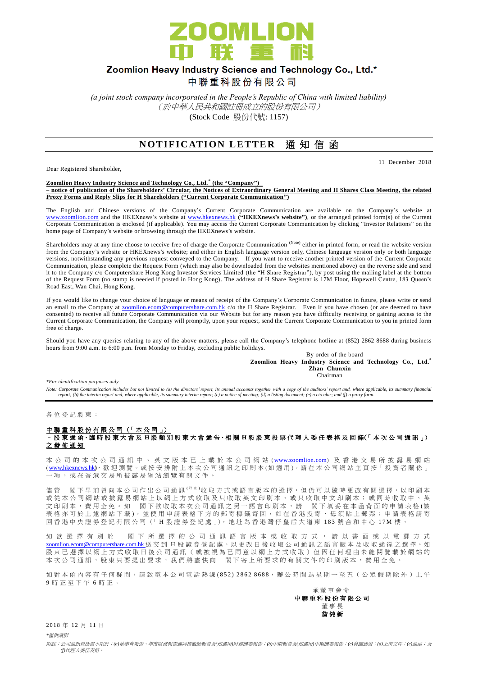

# Zoomlion Heavy Industry Science and Technology Co., Ltd.\*

中聯重科股份有限公司

*(a joint stock company incorporated in the People's Republic of China with limited liability)* (於中華人民共和國註冊成立的股份有限公司) (Stock Code 股份代號: 1157)

### **NOTIFICATION LETTER** 通知信函

Dear Registered Shareholder,

11 December 2018

**Zoomlion Heavy Industry Science and Technology Co., Ltd. \* (the "Company") – notice of publication of the Shareholders' Circular, the Notices of Extraordinary General Meeting and H Shares Class Meeting, the related Proxy Forms and Reply Slips for H Shareholders ("Current Corporate Communication")**

The English and Chinese versions of the Company's Current Corporate Communication are available on the Company's website at [www.zoomlion.com](http://www.zoomlion.com/) and the HKEXnews's website at [www.hkexnews.hk](http://www.hkexnews.hk/) **("HKEXnews's website")**, or the arranged printed form(s) of the Current Corporate Communication is enclosed (if applicable). You may access the Current Corporate Communication by clicking "Investor Relations" on the home page of Company's website or browsing through the HKEXnews's website.

Shareholders may at any time choose to receive free of charge the Corporate Communication (Note) either in printed form, or read the website version from the Company's website or HKEXnews's website; and either in English language version only, Chinese language version only or both language versions, notwithstanding any previous request conveyed to the Company. If you want to receive another printed version of the Current Corporate Communication, please complete the Request Form (which may also be downloaded from the websites mentioned above) on the reverse side and send it to the Company c/o Computershare Hong Kong Investor Services Limited (the "H Share Registrar"), by post using the mailing label at the bottom of the Request Form (no stamp is needed if posted in Hong Kong). The address of H Share Registrar is 17M Floor, Hopewell Centre, 183 Queen's Road East, Wan Chai, Hong Kong.

If you would like to change your choice of language or means of receipt of the Company's Corporate Communication in future, please write or send an email to the Company at **zoomlion.ecom@computershare.com.hk** c/o the H Share Registrar. Even if you have chosen (or are deemed to have consented) to receive all future Corporate Communication via our Website but for any reason you have difficulty receiving or gaining access to the Current Corporate Communication, the Company will promptly, upon your request, send the Current Corporate Communication to you in printed form free of charge.

Should you have any queries relating to any of the above matters, please call the Company's telephone hotline at (852) 2862 8688 during business hours from 9:00 a.m. to 6:00 p.m. from Monday to Friday, excluding public holidays.

By order of the board **Zoomlion Heavy Industry Science and Technology Co., Ltd.\* Zhan Chunxin Chairman** Chairman Chairman Chairman Chairman Chairman Chairman Chairman Chairman Chairman Chairman Chairman Chairman Chairman Chairman Chairman Chairman Chairman Chairman Chairman Chairman Chairman Chairman Chairman Chai

*\*For identification purposes only* 

Note: Corporate Communication includes but not limited to (a) the directors' report, its annual accounts together with a copy of the auditors' report and, where applicable, its summary financial<br>report; (b) the interim rep

各 位 登 記 股 東 :

#### 中聯重科股份有限公司 (「本公司」) – 股 東 通 函、臨 時 股 東 大會及 **H** 股類別股東大會 通 告、相 關 **H** 股股東投票代理人委任表格及回條(「 本 次 公司通訊 」) 之發佈通知

本 公 司 的 本 次 公 司 通 訊 中 、 英 文 版 本 已 上 載 於 本 公 司 網 站 ( [www.zoomlion.com](http://www.zoomlion.com/)) 及 香 港 交 易 所 披 露 易 網 站 ( [www.hkexnews.hk](http://www.hkexnews.hk/)**)**, 歡 迎 瀏 覽 。或 按 安 排 附 上 本 次 公 司 通 訊 之印刷本 (如適用 )。 請 在 本 公 司 網 站 主 頁 按「 投 資 者 關 係 」 一項, 或 在 香 港 交 易 所 披 露 易 網 站 瀏 覽 有 關 文 件 。

儘管 閣下早前曾向本公司作出公司通訊<sup>(附註)</sup>收取方式或語言版本的選擇,但仍可以隨時更改有關選擇,以印刷本 或 從 本 公 司 網 站 或 披 露 易 網 站 上 以 網 上 方 式 收 取 及 只 收 取 英 文 印 刷 本 、 或 只 收 取 中 文 印 刷 本 ; 或 同 時 收 取 中 、 英 文印刷本,費用全免。 如 閣下欲收取本次公司通訊之另一語言印刷本,請 閣下填妥在本函背面的申請表格(該 表格亦可於上述網站下載), 並使用申請表格下方的郵寄標籤寄回, 如在香港投寄, 毋須貼上郵票; 申請表格請寄 回香港中央證券登記有限公司(「H股證券登記處」), 地址為香港灣仔皇后大道東 183號合和中心 17M 樓

如 欲 選 擇 有 別 於 閣 下 所 選 擇 的 公 司 通 訊 語 言 版 本 或 收 取 方 式 , 請 以 書 面 或 以 電 郵 方 式 [zoomlion.ecom@computershare.com.hk](mailto:zoomlion.ecom@computershare.com.hk) 送 交 到 H 股 證 券 登 記 處, 以 更 改 日 後 收 取 公 司 通 訊 之 語 言 版 本 及 收 取 途 徑 之 選 擇。 如 股 東 已 選 擇 以 網 上 方 式 收 取 日 後 公 司 通 訊 ( 或 被 視 為 已 同 意 以 網 上 方 式 收 取 ) 但 因 任 何 理 由 未 能 閲 覽 載 於 網 站 的 本次公司通訊,股東只要提出要求,我們將盡快向 閣下寄上所要求的有關文件的印刷版本,費用全免。

如對本函內容有任何疑問,請致電本公司電話熱線(852) 2862 8688,辦公時間為星期一至五(公眾假期除外)上午 9 時正至下午 6 時 正 。

#### 承董事會命 中 聯 重 科 股 份 有 限 公 司 董事長 詹 純 新

2018 年 12 日 11 日

*\**僅供識別

附註:公司通訊包括但不限於:*(a)*董事會報告、年度財務報表連同核數師報告及*(*如適用*)*財務摘要報告;*(b)*中期報告及*(*如適用*)*中期摘要報告;*(c)*會議通告;*(d)*上市文件;*(e)*通函;及 *(f)*代理人委任表格。